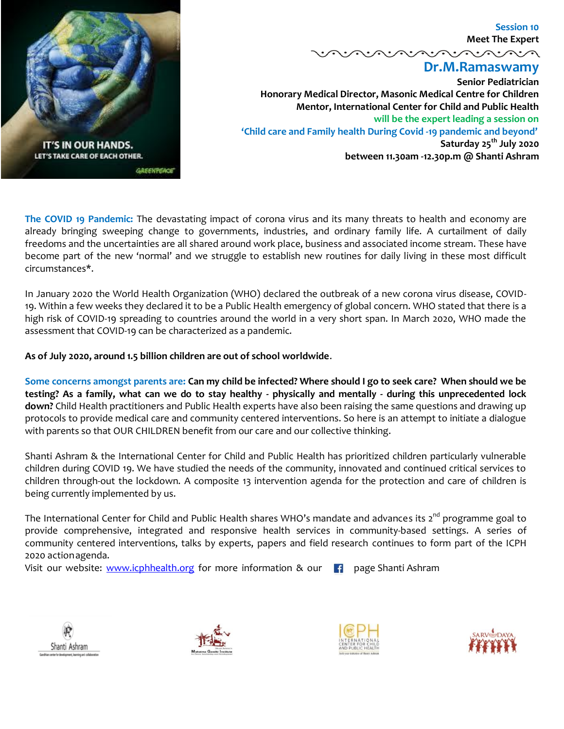

 **Session 10 Meet The Expert**

**Dr.M.Ramaswamy**

<u>vovovovovo</u>

**Senior Pediatrician Honorary Medical Director, Masonic Medical Centre for Children Mentor, International Center for Child and Public Health will be the expert leading a session on 'Child care and Family health During Covid -19 pandemic and beyond' Saturday 25th July 2020 between 11.30am -12.30p.m @ Shanti Ashram**

**The COVID 19 Pandemic:** The devastating impact of corona virus and its many threats to health and economy are already bringing sweeping change to governments, industries, and ordinary family life. A curtailment of daily freedoms and the uncertainties are all shared around work place, business and associated income stream. These have become part of the new 'normal' and we struggle to establish new routines for daily living in these most difficult circumstances\*.

In January 2020 the World Health Organization (WHO) declared the outbreak of a new corona virus disease, COVID-19. Within a few weeks they declared it to be a Public Health emergency of global concern. WHO stated that there is a high risk of COVID-19 spreading to countries around the world in a very short span. In March 2020, WHO made the assessment that COVID-19 can be characterized as a pandemic.

**As of July 2020, around 1.5 billion children are out of school worldwide**.

**Some concerns amongst parents are: Can my child be infected? Where should I go to seek care? When should we be testing? As a family, what can we do to stay healthy - physically and mentally - during this unprecedented lock down?** Child Health practitioners and Public Health experts have also been raising the same questions and drawing up protocols to provide medical care and community centered interventions. So here is an attempt to initiate a dialogue with parents so that OUR CHILDREN benefit from our care and our collective thinking.

Shanti Ashram & the International Center for Child and Public Health has prioritized children particularly vulnerable children during COVID 19. We have studied the needs of the community, innovated and continued critical services to children through-out the lockdown. A composite 13 intervention agenda for the protection and care of children is being currently implemented by us.

The International Center for Child and Public Health shares WHO's mandate and advances its 2<sup>nd</sup> programme goal to provide comprehensive, integrated and responsive health services in community-based settings. A series of community centered interventions, talks by experts, papers and field research continues to form part of the ICPH 2020 actionagenda.

Visit our website: [www.icphhealth.org](http://www.icphhealth.org/) for more information & our  $\begin{bmatrix} 1 \\ 1 \end{bmatrix}$  page Shanti Ashram